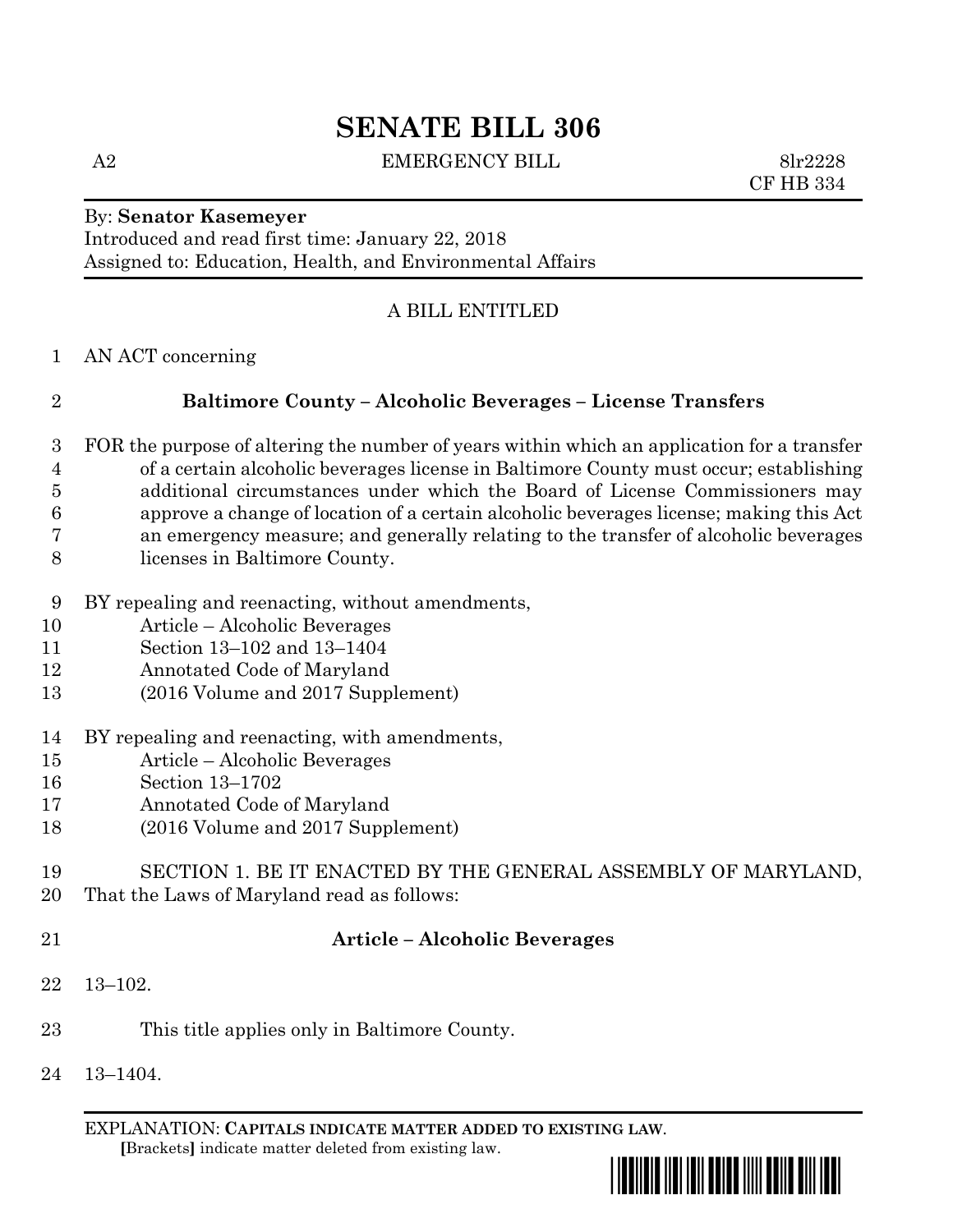# **SENATE BILL 306**

A2 EMERGENCY BILL 8lr2228

CF HB 334

#### By: **Senator Kasemeyer**

Introduced and read first time: January 22, 2018 Assigned to: Education, Health, and Environmental Affairs

#### A BILL ENTITLED

AN ACT concerning

# **Baltimore County – Alcoholic Beverages – License Transfers**

- FOR the purpose of altering the number of years within which an application for a transfer of a certain alcoholic beverages license in Baltimore County must occur; establishing additional circumstances under which the Board of License Commissioners may approve a change of location of a certain alcoholic beverages license; making this Act an emergency measure; and generally relating to the transfer of alcoholic beverages licenses in Baltimore County.
- BY repealing and reenacting, without amendments,
- Article Alcoholic Beverages
- Section 13–102 and 13–1404
- Annotated Code of Maryland
- (2016 Volume and 2017 Supplement)
- BY repealing and reenacting, with amendments,
- Article Alcoholic Beverages
- Section 13–1702
- Annotated Code of Maryland
- (2016 Volume and 2017 Supplement)
- SECTION 1. BE IT ENACTED BY THE GENERAL ASSEMBLY OF MARYLAND,
- That the Laws of Maryland read as follows:
- 

#### **Article – Alcoholic Beverages**

- 13–102.
- This title applies only in Baltimore County.
- 13–1404.

EXPLANATION: **CAPITALS INDICATE MATTER ADDED TO EXISTING LAW**.  **[**Brackets**]** indicate matter deleted from existing law.

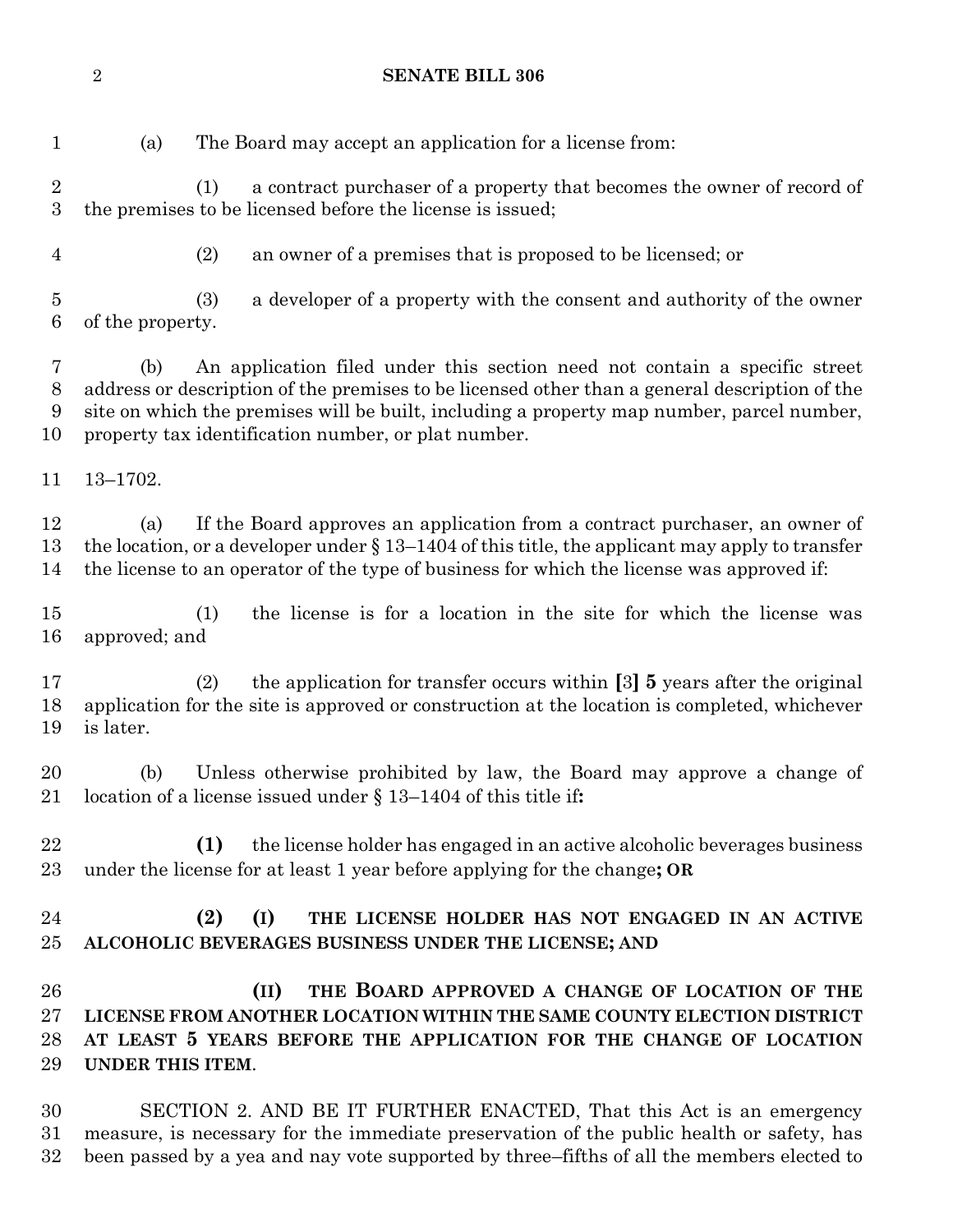**SENATE BILL 306**

(a) The Board may accept an application for a license from:

 (1) a contract purchaser of a property that becomes the owner of record of the premises to be licensed before the license is issued;

(2) an owner of a premises that is proposed to be licensed; or

 (3) a developer of a property with the consent and authority of the owner of the property.

 (b) An application filed under this section need not contain a specific street address or description of the premises to be licensed other than a general description of the site on which the premises will be built, including a property map number, parcel number, property tax identification number, or plat number.

13–1702.

 (a) If the Board approves an application from a contract purchaser, an owner of the location, or a developer under § 13–1404 of this title, the applicant may apply to transfer the license to an operator of the type of business for which the license was approved if:

 (1) the license is for a location in the site for which the license was approved; and

 (2) the application for transfer occurs within **[**3**] 5** years after the original application for the site is approved or construction at the location is completed, whichever is later.

 (b) Unless otherwise prohibited by law, the Board may approve a change of location of a license issued under § 13–1404 of this title if**:**

 **(1)** the license holder has engaged in an active alcoholic beverages business under the license for at least 1 year before applying for the change**; OR**

# **(2) (I) THE LICENSE HOLDER HAS NOT ENGAGED IN AN ACTIVE ALCOHOLIC BEVERAGES BUSINESS UNDER THE LICENSE; AND**

 **(II) THE BOARD APPROVED A CHANGE OF LOCATION OF THE LICENSE FROM ANOTHER LOCATION WITHIN THE SAME COUNTY ELECTION DISTRICT AT LEAST 5 YEARS BEFORE THE APPLICATION FOR THE CHANGE OF LOCATION UNDER THIS ITEM**.

 SECTION 2. AND BE IT FURTHER ENACTED, That this Act is an emergency measure, is necessary for the immediate preservation of the public health or safety, has been passed by a yea and nay vote supported by three–fifths of all the members elected to